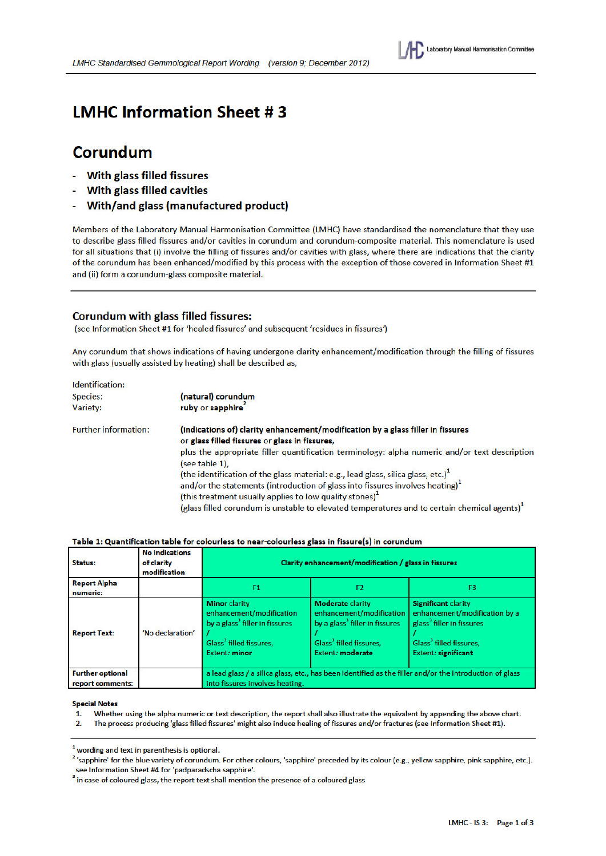

# **LMHC Information Sheet #3**

# Corundum

1242302

- **With glass filled fissures**
- **With glass filled cavities** ÷
- With/and glass (manufactured product)

Members of the Laboratory Manual Harmonisation Committee (LMHC) have standardised the nomenclature that they use to describe glass filled fissures and/or cavities in corundum and corundum-composite material. This nomenclature is used for all situations that (i) involve the filling of fissures and/or cavities with glass, where there are indications that the clarity of the corundum has been enhanced/modified by this process with the exception of those covered in Information Sheet #1 and (ii) form a corundum-glass composite material.

## **Corundum with glass filled fissures:**

(see Information Sheet #1 for 'healed fissures' and subsequent 'residues in fissures')

Any corundum that shows indications of having undergone clarity enhancement/modification through the filling of fissures with glass (usually assisted by heating) shall be described as,

| (natural) corundum                                                                                          |
|-------------------------------------------------------------------------------------------------------------|
| ruby or sapphire <sup>2</sup>                                                                               |
| (indications of) clarity enhancement/modification by a glass filler in fissures                             |
| or glass filled fissures or glass in fissures,                                                              |
| plus the appropriate filler quantification terminology: alpha numeric and/or text description               |
| (see table 1).                                                                                              |
| (the identification of the glass material: e.g., lead glass, silica glass, etc.) $1$                        |
| and/or the statements (introduction of glass into fissures involves heating) <sup>1</sup>                   |
| (this treatment usually applies to low quality stones) <sup>1</sup>                                         |
| (glass filled corundum is unstable to elevated temperatures and to certain chemical agents) $^{\mathrm{1}}$ |
|                                                                                                             |

### Table 1: Quantification table for colourless to near-colourless glass in fissure(s) in corundum

| Status:                         | <b>No indications</b><br>of clarity<br>modification | Clarity enhancement/modification / glass in fissures                                                                                                          |                                                                                                                                                                     |                                                                                                                                                                           |
|---------------------------------|-----------------------------------------------------|---------------------------------------------------------------------------------------------------------------------------------------------------------------|---------------------------------------------------------------------------------------------------------------------------------------------------------------------|---------------------------------------------------------------------------------------------------------------------------------------------------------------------------|
| <b>Report Alpha</b><br>numeric: |                                                     | F1                                                                                                                                                            | F <sub>2</sub>                                                                                                                                                      | F3                                                                                                                                                                        |
| <b>Report Text:</b>             | 'No declaration'                                    | <b>Minor clarity</b><br>enhancement/modification<br>by a glass <sup>3</sup> filler in fissures<br>Glass <sup>3</sup> filled fissures,<br><b>Extent: minor</b> | <b>Moderate clarity</b><br>enhancement/modification<br>by a glass <sup>3</sup> filler in fissures<br>Glass <sup>3</sup> filled fissures,<br><b>Extent: moderate</b> | <b>Significant clarity</b><br>enhancement/modification by a<br>glass <sup>3</sup> filler in fissures<br>Glass <sup>3</sup> filled fissures,<br><b>Extent: significant</b> |
| <b>Further optional</b>         |                                                     |                                                                                                                                                               |                                                                                                                                                                     | a lead glass / a silica glass, etc., has been identified as the filler and/or the introduction of glass                                                                   |
| report comments:                |                                                     | into fissures involves heating.                                                                                                                               |                                                                                                                                                                     |                                                                                                                                                                           |

#### **Special Notes**

- Whether using the alpha numeric or text description, the report shall also illustrate the equivalent by appending the above chart.  $\mathbf{1}$
- The process producing 'glass filled fissures' might also induce healing of fissures and/or fractures (see Information Sheet #1).  $2.$

<sup>&</sup>lt;sup>1</sup> wording and text in parenthesis is optional.

<sup>&</sup>lt;sup>2</sup> 'sapphire' for the blue variety of corundum. For other colours, 'sapphire' preceded by its colour (e.g., yellow sapphire, pink sapphire, etc.). see Information Sheet #4 for 'padparadscha sapphire'.

<sup>&</sup>lt;sup>3</sup> in case of coloured glass, the report text shall mention the presence of a coloured glass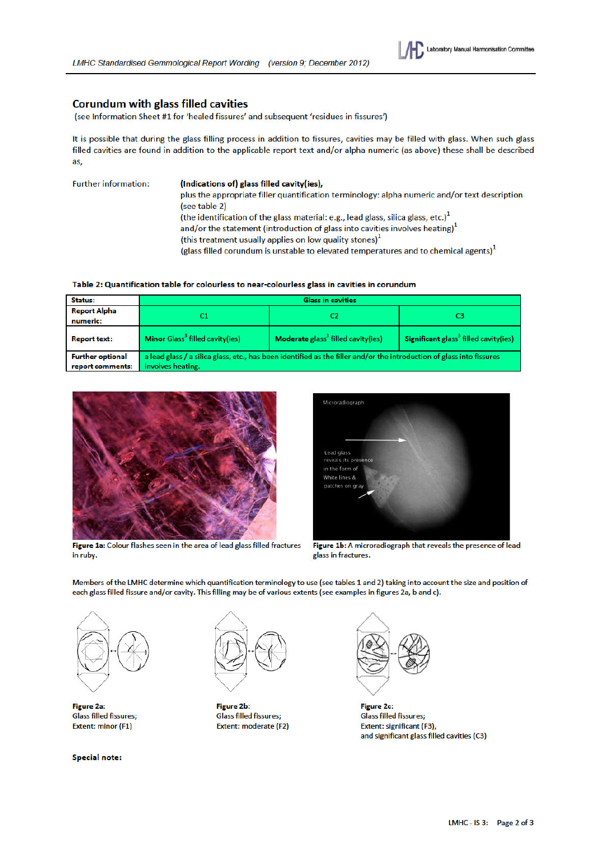

## **Corundum with glass filled cavities**

(see Information Sheet #1 for 'healed fissures' and subsequent 'residues in fissures')

It is possible that during the glass filling process in addition to fissures, cavities may be filled with glass. When such glass filled cavities are found in addition to the applicable report text and/or alpha numeric (as above) these shall be described as,

| <b>Further information:</b> | (Indications of) glass filled cavity (ies),                                                      |
|-----------------------------|--------------------------------------------------------------------------------------------------|
|                             | plus the appropriate filler quantification terminology: alpha numeric and/or text description    |
|                             | (see table 2)                                                                                    |
|                             | (the identification of the glass material: e.g., lead glass, silica glass, etc.) $^1$            |
|                             | and/or the statement (introduction of glass into cavities involves heating) <sup>1</sup>         |
|                             | (this treatment usually applies on low quality stones) <sup>1</sup>                              |
|                             | (glass filled corundum is unstable to elevated temperatures and to chemical agents) <sup>1</sup> |

## Table 2: Quantification table for colourless to near-colourless glass in cavities in corundum

| Status:                                     | <b>Glass in cavities</b>                                                                                                                   |                                                |                                                   |  |
|---------------------------------------------|--------------------------------------------------------------------------------------------------------------------------------------------|------------------------------------------------|---------------------------------------------------|--|
| <b>Report Alpha</b>                         | C1                                                                                                                                         | C2                                             |                                                   |  |
| numeric:                                    |                                                                                                                                            |                                                |                                                   |  |
| <b>Report text:</b>                         | Minor Glass <sup>3</sup> filled cavity(ies)                                                                                                | Moderate glass <sup>3</sup> filled cavity(ies) | Significant glass <sup>3</sup> filled cavity(ies) |  |
| <b>Further optional</b><br>report comments: | a lead glass / a silica glass, etc., has been identified as the filler and/or the introduction of glass into fissures<br>involves heating. |                                                |                                                   |  |



Figure 1a: Colour flashes seen in the area of lead glass filled fractures in ruby.



Figure 1b: A microradiograph that reveals the presence of lead glass in fractures.

Members of the LMHC determine which quantification terminology to use (see tables 1 and 2) taking into account the size and position of each glass filled fissure and/or cavity. This filling may be of various extents (see examples in figures 2a, b and c).



Figure 2a: **Glass filled fissures;** Extent: minor (F1)

**Special note:** 



Figure 2b: **Glass filled fissures;** Extent: moderate (F2)



Figure 2c: **Glass filled fissures;** Extent: significant (F3), and significant glass filled cavities (C3)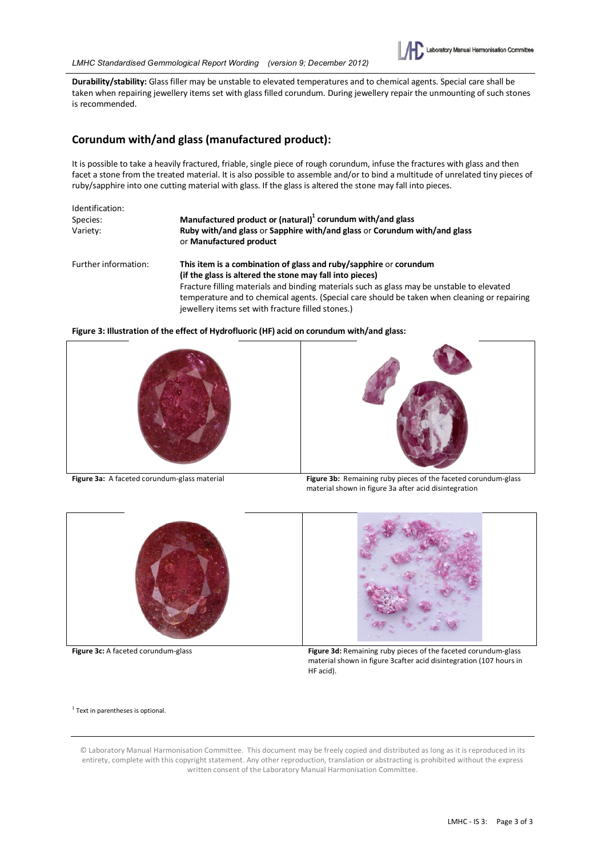*LMHC Standardised Gemmological Report Wording (version 9; December 2012)* 



**Durability/stability:** Glass filler may be unstable to elevated temperatures and to chemical agents. Special care shall be taken when repairing jewellery items set with glass filled corundum. During jewellery repair the unmounting of such stones is recommended.

# **Corundum with/and glass (manufactured product):**

It is possible to take a heavily fractured, friable, single piece of rough corundum, infuse the fractures with glass and then facet a stone from the treated material. It is also possible to assemble and/or to bind a multitude of unrelated tiny pieces of ruby/sapphire into one cutting material with glass. If the glass is altered the stone may fall into pieces.

| Identification:      |                                                                                                                                                   |  |  |
|----------------------|---------------------------------------------------------------------------------------------------------------------------------------------------|--|--|
| Species:             | Manufactured product or (natural) <sup>1</sup> corundum with/and glass                                                                            |  |  |
| Variety:             | Ruby with/and glass or Sapphire with/and glass or Corundum with/and glass<br>or Manufactured product                                              |  |  |
| Further information: | This item is a combination of glass and ruby/sapphire or corundum                                                                                 |  |  |
|                      | (if the glass is altered the stone may fall into pieces)                                                                                          |  |  |
|                      | Fracture filling materials and binding materials such as glass may be unstable to elevated                                                        |  |  |
|                      | temperature and to chemical agents. (Special care should be taken when cleaning or repairing<br>jewellery items set with fracture filled stones.) |  |  |
|                      |                                                                                                                                                   |  |  |

**Figure 3: Illustration of the effect of Hydrofluoric (HF) acid on corundum with/and glass:**





**Figure 3a:** A faceted corundum-glass material **Figure 3b:** Remaining ruby pieces of the faceted corundum-glass material shown in figure 3a after acid disintegration



material shown in figure 3cafter acid disintegration (107 hours in HF acid).

<sup>1</sup> Text in parentheses is optional.

© Laboratory Manual Harmonisation Committee. This document may be freely copied and distributed as long as it is reproduced in its entirety, complete with this copyright statement. Any other reproduction, translation or abstracting is prohibited without the express written consent of the Laboratory Manual Harmonisation Committee.